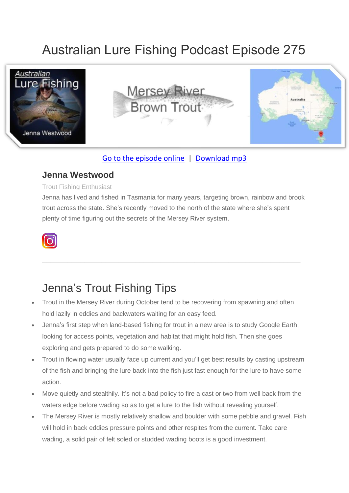# Australian Lure Fishing Podcast Episode 275



### [Go to the episode online](https://doclures.com/mersey-trout-jenna-westwood/) | [Download mp3](https://traffic.libsyn.com/secure/doclures/mersey-trout-jenna-westwood.mp3)

### **Jenna Westwood**

#### Trout Fishing Enthusiast

Jenna has lived and fished in Tasmania for many years, targeting brown, rainbow and brook trout across the state. She's recently moved to the north of the state where she's spent plenty of time figuring out the secrets of the Mersey River system.

\_\_\_\_\_\_\_\_\_\_\_\_\_\_\_\_\_\_\_\_\_\_\_\_\_\_\_\_\_\_\_\_\_\_\_\_\_\_\_\_\_\_\_\_\_\_\_\_\_\_\_\_\_\_\_\_\_\_\_\_\_



## Jenna's Trout Fishing Tips

- Trout in the Mersey River during October tend to be recovering from spawning and often hold lazily in eddies and backwaters waiting for an easy feed.
- Jenna's first step when land-based fishing for trout in a new area is to study Google Earth, looking for access points, vegetation and habitat that might hold fish. Then she goes exploring and gets prepared to do some walking.
- Trout in flowing water usually face up current and you'll get best results by casting upstream of the fish and bringing the lure back into the fish just fast enough for the lure to have some action.
- Move quietly and stealthily. It's not a bad policy to fire a cast or two from well back from the waters edge before wading so as to get a lure to the fish without revealing yourself.
- The Mersey River is mostly relatively shallow and boulder with some pebble and gravel. Fish will hold in back eddies pressure points and other respites from the current. Take care wading, a solid pair of felt soled or studded wading boots is a good investment.